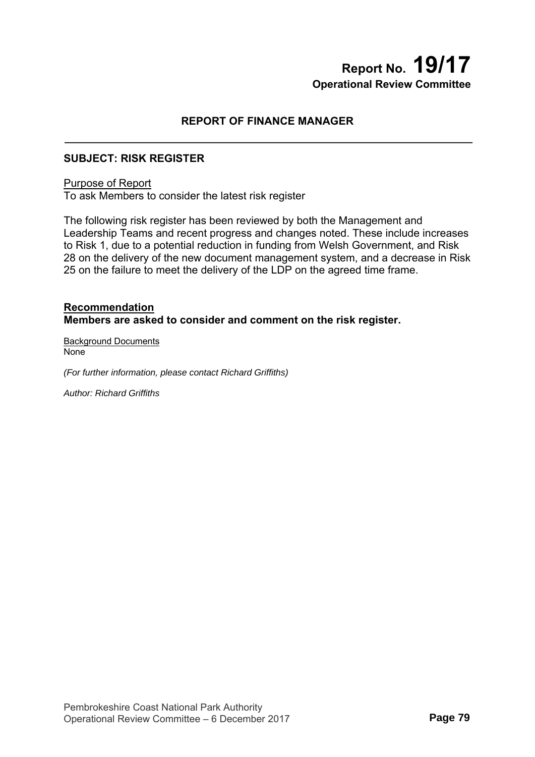# **Report No. 19/17 Operational Review Committee**

## **REPORT OF FINANCE MANAGER**

### **SUBJECT: RISK REGISTER**

#### Purpose of Report

To ask Members to consider the latest risk register

The following risk register has been reviewed by both the Management and Leadership Teams and recent progress and changes noted. These include increases to Risk 1, due to a potential reduction in funding from Welsh Government, and Risk 28 on the delivery of the new document management system, and a decrease in Risk 25 on the failure to meet the delivery of the LDP on the agreed time frame.

#### **Recommendation Members are asked to consider and comment on the risk register.**

Background Documents None

*(For further information, please contact Richard Griffiths)* 

*Author: Richard Griffiths*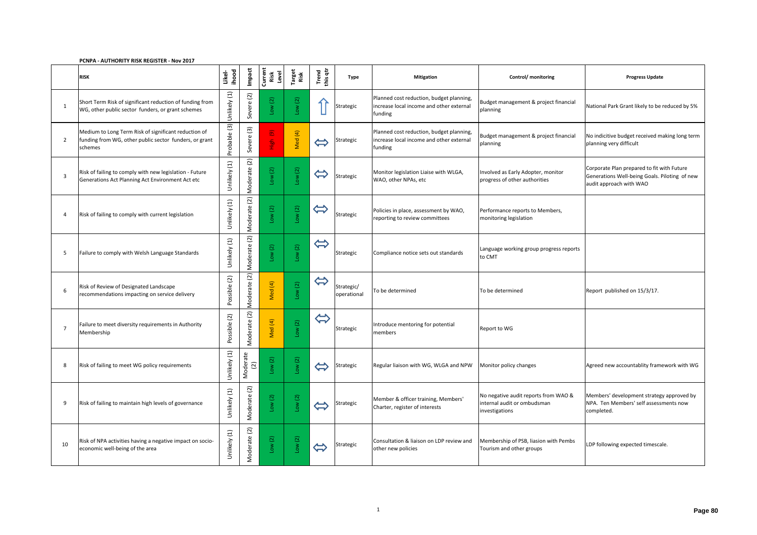#### **PCNPA - AUTHORITY RISK REGISTER - Nov 2017**

|                | <b>RISK</b>                                                                                                               | ihood<br>Likel-             | Impact                             | Current<br>Risk<br>Level       | Target<br>Risk                     | Trend<br>this qtr | <b>Type</b>               | <b>Mitigation</b>                                                                               | Control/ monitoring                                                                   | <b>Progress Update</b>                                                                                                 |
|----------------|---------------------------------------------------------------------------------------------------------------------------|-----------------------------|------------------------------------|--------------------------------|------------------------------------|-------------------|---------------------------|-------------------------------------------------------------------------------------------------|---------------------------------------------------------------------------------------|------------------------------------------------------------------------------------------------------------------------|
| 1              | Short Term Risk of significant reduction of funding from<br>WG, other public sector funders, or grant schemes             | Unlikely (1)                | Severe (2)                         | Low(2)                         | Low(2)                             |                   | Strategic                 | Planned cost reduction, budget planning,<br>increase local income and other external<br>funding | Budget management & project financial<br>planning                                     | National Park Grant likely to be reduced by 5%                                                                         |
| $\overline{2}$ | Medium to Long Term Risk of significant reduction of<br>funding from WG, other public sector funders, or grant<br>schemes | Probable (3)                | Severe (3)                         | $\widehat{\mathbf{e}}$<br>High | Med (4)                            | $\Leftrightarrow$ | Strategic                 | Planned cost reduction, budget planning,<br>increase local income and other external<br>funding | Budget management & project financial<br>planning                                     | No indicitive budget received making long term<br>planning very difficult                                              |
| 3              | Risk of failing to comply with new legislation - Future<br>Generations Act Planning Act Environment Act etc               | Unlikely (1)                | $\widetilde{S}$<br>Moderate        | Low(2)                         | Low(2)                             | $\Leftrightarrow$ | Strategic                 | Monitor legislation Liaise with WLGA,<br>WAO, other NPAs, etc                                   | Involved as Early Adopter, monitor<br>progress of other authorities                   | Corporate Plan prepared to fit with Future<br>Generations Well-being Goals. Piloting of new<br>audit approach with WAO |
| $\overline{A}$ | Risk of failing to comply with current legislation                                                                        | Unlikely (1)                | Moderate (2)                       | Low(2)                         | Low(2)                             | $\Leftrightarrow$ | Strategic                 | Policies in place, assessment by WAO,<br>reporting to review committees                         | Performance reports to Members,<br>monitoring legislation                             |                                                                                                                        |
| 5              | Failure to comply with Welsh Language Standards                                                                           | Unlikely (1)                | $\widetilde{S}$<br>Moderate        | Low(2)                         | $\overline{\text{2}}$<br><b>No</b> | $\Leftrightarrow$ | Strategic                 | Compliance notice sets out standards                                                            | Language working group progress reports<br>to CMT                                     |                                                                                                                        |
| 6              | Risk of Review of Designated Landscape<br>recommendations impacting on service delivery                                   | $\widetilde{S}$<br>Possible | $(2)$<br><b>Aoderate</b><br>∽      | Med (4)                        | $\boxed{2}$<br>ΜOΠ                 | $\Leftrightarrow$ | Strategic/<br>operational | To be determined                                                                                | To be determined                                                                      | Report published on 15/3/17.                                                                                           |
|                | Failure to meet diversity requirements in Authority<br>Membership                                                         | Possible (2)                | $\widetilde{\text{C}}$<br>Moderate | Med (4)                        | $\left( 2\right)$<br><b>Mo</b>     | $\Leftrightarrow$ | Strategic                 | Introduce mentoring for potential<br>members                                                    | Report to WG                                                                          |                                                                                                                        |
| 8              | Risk of failing to meet WG policy requirements                                                                            | Unlikely (1)                | Moderate<br>$(2)$                  | Low(2)                         | $\overline{\text{C}}$<br>$\gtrsim$ | $\Leftrightarrow$ | Strategic                 | Regular liaison with WG, WLGA and NPW                                                           | Monitor policy changes                                                                | Agreed new accountablity framework with WG                                                                             |
| 9              | Risk of failing to maintain high levels of governance                                                                     | Unlikely (1)                | $(2)$<br>Moderate                  | Low(2)                         | $\overline{c}$<br>$\sum_{i=1}^{n}$ | $\Leftrightarrow$ | Strategic                 | Member & officer training, Members'<br>Charter, register of interests                           | No negative audit reports from WAO &<br>internal audit or ombudsman<br>investigations | Members' development strategy approved by<br>NPA. Ten Members' self assessments now<br>completed.                      |
| 10             | Risk of NPA activities having a negative impact on socio-<br>economic well-being of the area                              | Unlikely (1)                | Moderate (2)                       | Low(2)                         | $\boxed{2}$<br>Low                 | $\Leftrightarrow$ | Strategic                 | Consultation & liaison on LDP review and<br>other new policies                                  | Membership of PSB, liasion with Pembs<br>Tourism and other groups                     | LDP following expected timescale.                                                                                      |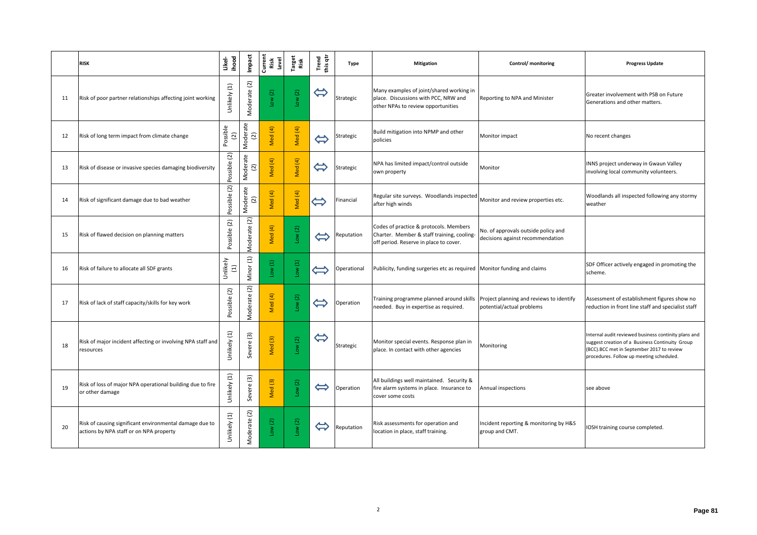|    | <b>RISK</b>                                                                                        | ihood<br>Likel-                                    | Impact                       | Current<br>Risk<br>Level | Target<br>Risk | Trend<br>this qtr          | <b>Type</b> | <b>Mitigation</b>                                                                                                              | Control/ monitoring                                                     | <b>Progress Update</b>                                                                                                                                                                           |
|----|----------------------------------------------------------------------------------------------------|----------------------------------------------------|------------------------------|--------------------------|----------------|----------------------------|-------------|--------------------------------------------------------------------------------------------------------------------------------|-------------------------------------------------------------------------|--------------------------------------------------------------------------------------------------------------------------------------------------------------------------------------------------|
| 11 | Risk of poor partner relationships affecting joint working                                         | $\begin{array}{c} \square \end{array}$<br>Unlikely | Moderate (2)                 | Low(2)                   | Low(2)         | $\Leftrightarrow$          | Strategic   | Many examples of joint/shared working in<br>place. Discussions with PCC, NRW and<br>other NPAs to review opportunities         | Reporting to NPA and Minister                                           | Greater involvement with PSB on Future<br>Generations and other matters.                                                                                                                         |
| 12 | Risk of long term impact from climate change                                                       | Possible<br>(2)                                    | Moderate<br>(2)              | Med (4)                  | Med (4)        | $\Leftrightarrow$          | Strategic   | Build mitigation into NPMP and other<br>policies                                                                               | Monitor impact                                                          | No recent changes                                                                                                                                                                                |
| 13 | Risk of disease or invasive species damaging biodiversity                                          | Possible (2)                                       | Moderate<br>(2)              | Med (4)                  | Med (4)        | $\Leftrightarrow$          | Strategic   | NPA has limited impact/control outside<br>own property                                                                         | Monitor                                                                 | INNS project underway in Gwaun Valley<br>involving local community volunteers.                                                                                                                   |
| 14 | Risk of significant damage due to bad weather                                                      | Possible (2)                                       | Moderate<br>(2)              | Med (4)                  | Med (4)        | $\widetilde{\mathfrak{h}}$ | Financial   | Regular site surveys. Woodlands inspected<br>after high winds                                                                  | Monitor and review properties etc.                                      | Woodlands all inspected following any stormy<br>weather                                                                                                                                          |
| 15 | Risk of flawed decision on planning matters                                                        | Possible (2)                                       | $\overline{2}$<br>Moderate   | Med (4)                  | Low(2)         | $\Leftrightarrow$          | Reputation  | Codes of practice & protocols. Members<br>Charter. Member & staff training, cooling-<br>off period. Reserve in place to cover. | No. of approvals outside policy and<br>decisions against recommendation |                                                                                                                                                                                                  |
| 16 | Risk of failure to allocate all SDF grants                                                         | Unlikely<br>$\Xi$                                  | $\widehat{\Xi}$<br>Minor     | Low(1)                   | Low(1)         | $\leftarrow$               | Operational | Publicity, funding surgeries etc as required Monitor funding and claims                                                        |                                                                         | SDF Officer actively engaged in promoting the<br>scheme.                                                                                                                                         |
| 17 | Risk of lack of staff capacity/skills for key work                                                 | Possible (2)                                       | $\overline{2}$<br>Moderate   | Med (4)                  | Low(2)         | $\Leftrightarrow$          | Operation   | Training programme planned around skills<br>needed. Buy in expertise as required.                                              | Project planning and reviews to identify<br>potential/actual problems   | Assessment of establishment figures show no<br>reduction in front line staff and specialist staff                                                                                                |
| 18 | Risk of major incident affecting or involving NPA staff and<br>resources                           | $\Xi$<br>Unlikely                                  | $\boxed{3}$<br><b>Severe</b> | Med <sup>(3)</sup>       | Low(2)         | $\Leftrightarrow$          | Strategic   | Monitor special events. Response plan in<br>place. In contact with other agencies                                              | Monitoring                                                              | Internal audit reviewed business continity plans and<br>suggest creation of a Business Continuity Group<br>(BCC).BCC met in September 2017 to review<br>procedures. Follow up meeting scheduled. |
| 19 | Risk of loss of major NPA operational building due to fire<br>or other damage                      | Unlikely (1)                                       | Severe (3)                   | Med <sup>(3)</sup>       | Low(2)         | $\Leftrightarrow$          | Operation   | All buildings well maintained. Security &<br>fire alarm systems in place. Insurance to<br>cover some costs                     | Annual inspections                                                      | see above                                                                                                                                                                                        |
| 20 | Risk of causing significant environmental damage due to<br>actions by NPA staff or on NPA property | Unlikely (1)                                       | $\widetilde{S}$<br>Moderate  | Low(2)                   | Low(2)         | $\Leftrightarrow$          | Reputation  | Risk assessments for operation and<br>location in place, staff training.                                                       | Incident reporting & monitoring by H&S<br>group and CMT.                | <b>IOSH</b> training course completed.                                                                                                                                                           |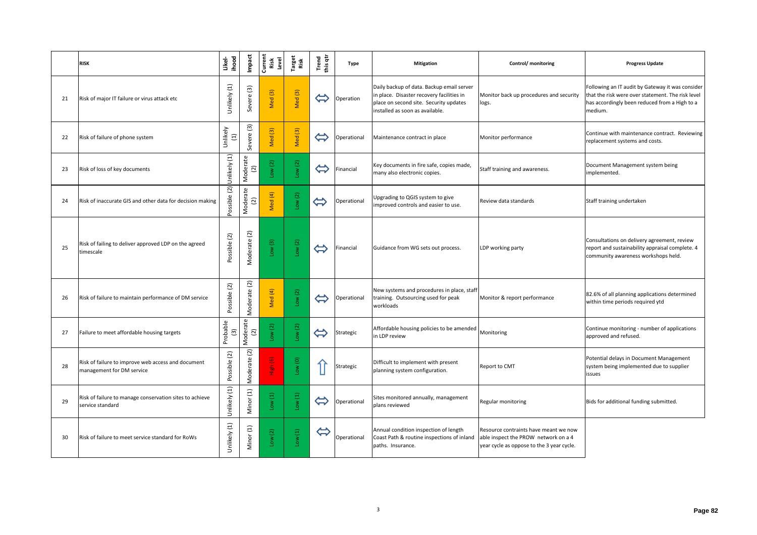|    | <b>RISK</b>                                                                     | Likel-<br>ihood                       | Impact                                 | Current<br>Risk<br>Level | Target<br>Risk                    | Trend<br>this qtr | <b>Type</b> | <b>Mitigation</b>                                                                                                                                                   | <b>Control/</b> monitoring                                                                                                 | <b>Progress Update</b>                                                                                                                                            |
|----|---------------------------------------------------------------------------------|---------------------------------------|----------------------------------------|--------------------------|-----------------------------------|-------------------|-------------|---------------------------------------------------------------------------------------------------------------------------------------------------------------------|----------------------------------------------------------------------------------------------------------------------------|-------------------------------------------------------------------------------------------------------------------------------------------------------------------|
| 21 | Risk of major IT failure or virus attack etc                                    | Unlikely (1)                          | Severe (3)                             | Med <sup>(3)</sup>       | Med <sup>(3)</sup>                | $\bigoplus$       | Operation   | Daily backup of data. Backup email server<br>in place. Disaster recovery facilities in<br>place on second site. Security updates<br>installed as soon as available. | Monitor back up procedures and security<br>logs.                                                                           | Following an IT audit by Gateway it was consider<br>that the risk were over statement. The risk level<br>has accordingly been reduced from a High to a<br>medium. |
| 22 | Risk of failure of phone system                                                 | Unlikely<br>$\Xi$                     | Severe (3)                             | Med <sup>(3)</sup>       | Med <sup>(3)</sup>                | $\Leftrightarrow$ | Operational | Maintenance contract in place                                                                                                                                       | Monitor performance                                                                                                        | Continue with maintenance contract. Reviewing<br>replacement systems and costs.                                                                                   |
| 23 | Risk of loss of key documents                                                   | Unlikely (1)                          | Moderate<br>(2)                        | Low(2)                   | Low(2)                            | $\Leftrightarrow$ | Financial   | Key documents in fire safe, copies made,<br>many also electronic copies.                                                                                            | Staff training and awareness.                                                                                              | Document Management system being<br>implemented.                                                                                                                  |
| 24 | Risk of inaccurate GIS and other data for decision making                       | Possible (2)                          | Moderate<br>(2)                        | Med (4)                  | Low(2)                            | $\bigoplus$       | Operational | Upgrading to QGIS system to give<br>improved controls and easier to use.                                                                                            | Review data standards                                                                                                      | Staff training undertaken                                                                                                                                         |
| 25 | Risk of failing to deliver approved LDP on the agreed<br>timescale              | Possible (2)                          | Moderate (2)                           | Low(3)                   | Low(2)                            | $\bigoplus$       | Financial   | Guidance from WG sets out process.                                                                                                                                  | LDP working party                                                                                                          | Consultations on delivery agreement, review<br>report and sustainability appraisal complete. 4<br>community awareness workshops held.                             |
| 26 | Risk of failure to maintain performance of DM service                           | $(2)$<br>Possible                     | $\overline{\text{2}}$<br>ധ<br>Moderate | Med (4)                  | Low (2)                           | $\Leftrightarrow$ | Operational | New systems and procedures in place, staff<br>training. Outsourcing used for peak<br>workloads                                                                      | Monitor & report performance                                                                                               | 82.6% of all planning applications determined<br>within time periods required ytd                                                                                 |
| 27 | Failure to meet affordable housing targets                                      | Probable<br>$\widetilde{\mathcal{E}}$ | Moderate<br>(2)                        | Low(2)                   | Low(2)                            | $\bigoplus$       | Strategic   | Affordable housing policies to be amended Monitoring<br>in LDP review                                                                                               |                                                                                                                            | Continue monitoring - number of applications<br>approved and refused.                                                                                             |
| 28 | Risk of failure to improve web access and document<br>management for DM service | Possible (2)                          | $(2)$<br>Moderate                      | High (6)                 | $\frac{10W(0)}{1}$                |                   | Strategic   | Difficult to implement with present<br>planning system configuration.                                                                                               | <b>Report to CMT</b>                                                                                                       | Potential delays in Document Management<br>system being implemented due to supplier<br>issues                                                                     |
| 29 | Risk of failure to manage conservation sites to achieve<br>service standard     | Unlikely (1)                          | $\Xi$<br>Minor                         | Low(1)                   | Low(1)                            | $\Leftrightarrow$ | Operational | Sites monitored annually, management<br>plans reviewed                                                                                                              | <b>Regular monitoring</b>                                                                                                  | Bids for additional funding submitted.                                                                                                                            |
| 30 | Risk of failure to meet service standard for RoWs                               | Unlikely (1)                          | Minor (1)                              | Low(2)                   | $\frac{\text{Low} (1)}{\text{?}}$ | $\Leftrightarrow$ | Operational | Annual condition inspection of length<br>Coast Path & routine inspections of inland<br>paths. Insurance.                                                            | Resource contraints have meant we now<br>able inspect the PROW network on a 4<br>year cycle as oppose to the 3 year cycle. |                                                                                                                                                                   |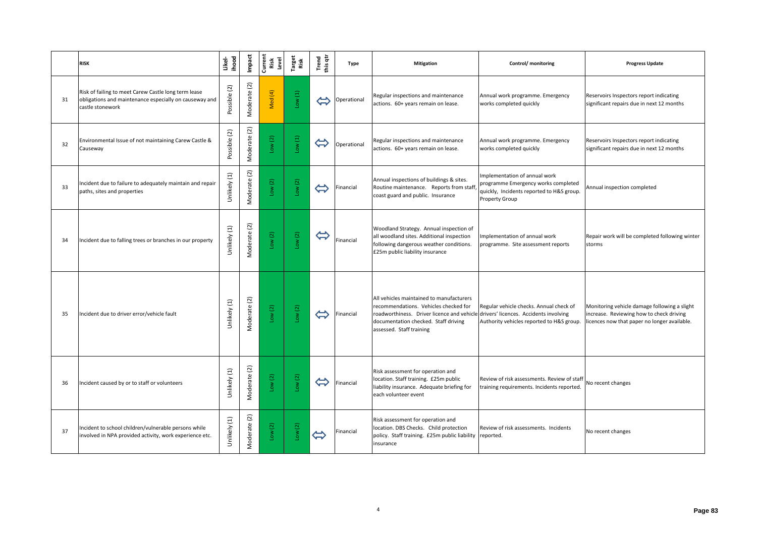|     | <b>RISK</b>                                                                                                                        | ihood<br>Likel- | Impact                     | Current<br>Risk<br>Level | Target<br>Risk | Trend<br>this qtr | <b>Type</b> | <b>Mitigation</b>                                                                                                                                                                                                                          | <b>Control/</b> monitoring                                                                                                                 | <b>Progress Update</b>                                                                                                                   |
|-----|------------------------------------------------------------------------------------------------------------------------------------|-----------------|----------------------------|--------------------------|----------------|-------------------|-------------|--------------------------------------------------------------------------------------------------------------------------------------------------------------------------------------------------------------------------------------------|--------------------------------------------------------------------------------------------------------------------------------------------|------------------------------------------------------------------------------------------------------------------------------------------|
| 31  | Risk of failing to meet Carew Castle long term lease<br>obligations and maintenance especially on causeway and<br>castle stonework | Possible (2)    | Moderate (2)               | Med (4)                  | Low(1)         | $\bigoplus$       | Operational | Regular inspections and maintenance<br>actions. 60+ years remain on lease.                                                                                                                                                                 | Annual work programme. Emergency<br>works completed quickly                                                                                | Reservoirs Inspectors report indicating<br>significant repairs due in next 12 months                                                     |
| 32  | Environmental Issue of not maintaining Carew Castle &<br>Causeway                                                                  | Possible (2)    | $\boxed{2}$<br>Moderate    | Low $(2)$                | Low(1)         | $\Leftrightarrow$ | Operational | Regular inspections and maintenance<br>actions. 60+ years remain on lease.                                                                                                                                                                 | Annual work programme. Emergency<br>works completed quickly                                                                                | Reservoirs Inspectors report indicating<br>significant repairs due in next 12 months                                                     |
| 33  | Incident due to failure to adequately maintain and repair<br>paths, sites and properties                                           | Unlikely (1)    | Moderate (2)               | Low $(2)$                | Low(2)         | $\bigoplus$       | Financial   | Annual inspections of buildings & sites.<br>Routine maintenance. Reports from staff,<br>coast guard and public. Insurance                                                                                                                  | Implementation of annual work<br>programme Emergency works completed<br>quickly, Incidents reported to H&S group.<br><b>Property Group</b> | Annual inspection completed                                                                                                              |
| 34  | Incident due to falling trees or branches in our property                                                                          | Unlikely (1)    | Moderate (2)               | Low(2)                   | Low(2)         | $\bigoplus$       | Financial   | Woodland Strategy. Annual inspection of<br>all woodland sites. Additional inspection<br>following dangerous weather conditions.<br>£25m public liability insurance                                                                         | Implementation of annual work<br>programme. Site assessment reports                                                                        | Repair work will be completed following winter<br>storms                                                                                 |
| -35 | Incident due to driver error/vehicle fault                                                                                         | Unlikely (1)    | $\overline{2}$<br>Moderate | Low(2)                   | Low(2)         | $\bigoplus$       | Financial   | All vehicles maintained to manufacturers<br>recommendations. Vehicles checked for<br>roadworthiness. Driver licence and vehicle drivers' licences. Accidents involving<br>documentation checked. Staff driving<br>assessed. Staff training | Regular vehicle checks. Annual check of<br>Authority vehicles reported to H&S group.                                                       | Monitoring vehicle damage following a slight<br>increase. Reviewing how to check driving<br>licences now that paper no longer available. |
| 36  | Incident caused by or to staff or volunteers                                                                                       | Unlikely (1)    | Moderate (2)               | Low(2)                   | Low(2)         | $\Leftrightarrow$ | Financial   | Risk assessment for operation and<br>location. Staff training. £25m public<br>liability insurance. Adequate briefing for<br>each volunteer event                                                                                           | Review of risk assessments. Review of staff No recent changes<br>training requirements. Incidents reported.                                |                                                                                                                                          |
| 37  | Incident to school children/vulnerable persons while<br>involved in NPA provided activity, work experience etc.                    | Unlikely (1)    | (2)<br>Moderate            | Low(2)                   | Low(2)         | $\bigoplus$       | Financial   | Risk assessment for operation and<br>location. DBS Checks. Child protection<br>policy. Staff training. £25m public liability reported.<br>insurance                                                                                        | Review of risk assessments. Incidents                                                                                                      | No recent changes                                                                                                                        |